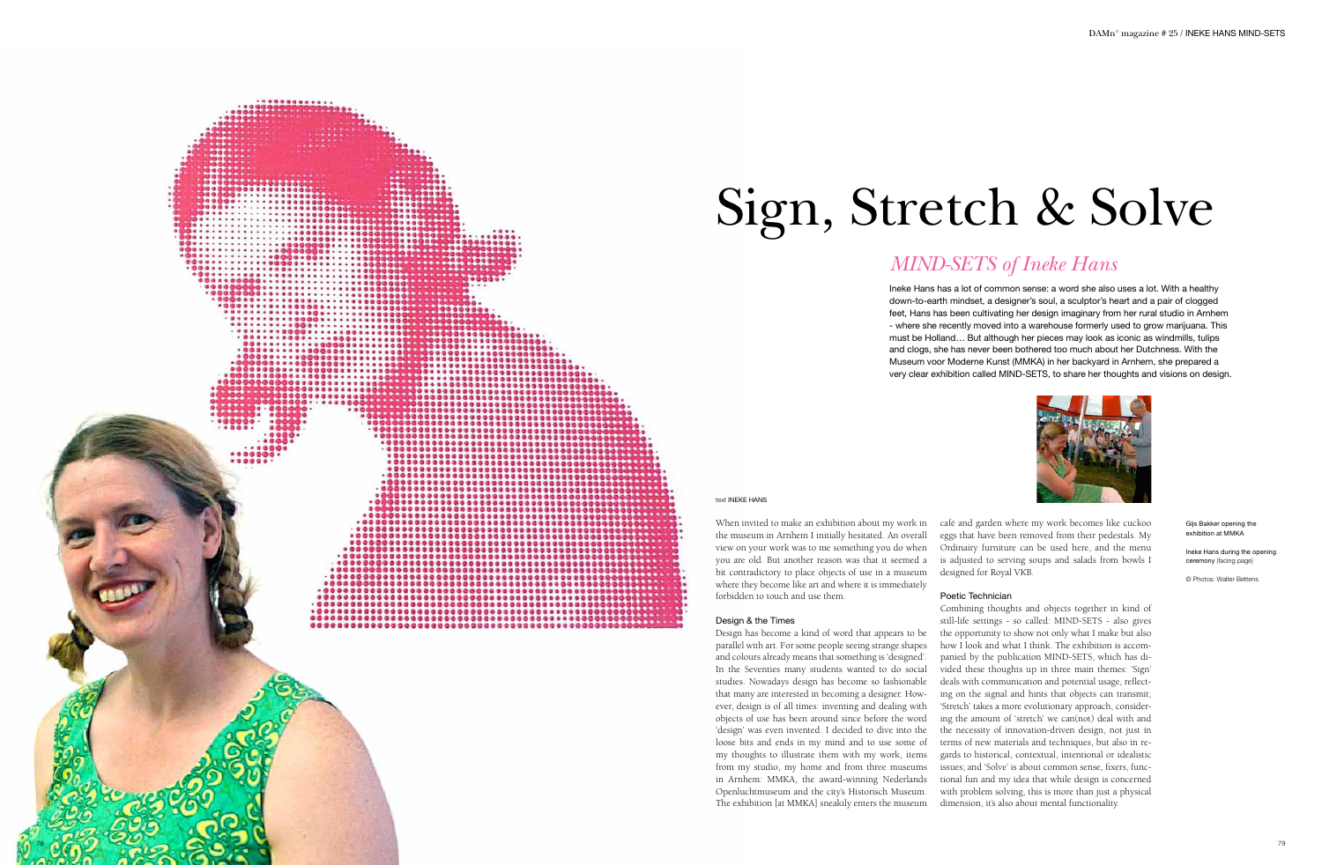# Sign, Stretch & Solve

Ineke Hans has a lot of common sense: a word she also uses a lot. With a healthy down-to-earth mindset, a designer's soul, a sculptor's heart and a pair of clogged feet, Hans has been cultivating her design imaginary from her rural studio in Arnhem - where she recently moved into a warehouse formerly used to grow marijuana. This must be Holland… But although her pieces may look as iconic as windmills, tulips and clogs, she has never been bothered too much about her Dutchness. With the Museum voor Moderne Kunst (MMKA) in her backyard in Arnhem, she prepared a very clear exhibition called MIND-SETS, to share her thoughts and visions on design.



# *MIND-SETS of Ineke Hans*

### text INEKE HANS

............

000000000000000000000000 ,,,,,,,,,,,,,,,,,,,,,,,,,,,, ,,,,,,,,,,,,,,,,,,,,,,,,,,

,,,,,,,,,,,,,,,,,,,,,,,,,,,,,,,, 

................................ ...................................

......................................

..............................

.......................... ,,,,,,,,,,,,,,,,,,,,,,,,,,,,,

...........................

Gijs Bakker opening the exhibition at MMKA

Ineke Hans during the opening ceremony (facing page)

© Photos: Walter Bettens

When invited to make an exhibition about my work in the museum in Arnhem I initially hesitated. An overall view on your work was to me something you do when you are old. But another reason was that it seemed a bit contradictory to place objects of use in a museum where they become like art and where it is immediately forbidden to touch and use them.

## Design & the Times

Design has become a kind of word that appears to be parallel with art. For some people seeing strange shapes and colours already means that something is 'designed'. In the Seventies many students wanted to do social studies. Nowadays design has become so fashionable that many are interested in becoming a designer. How ever, design is of all times: inventing and dealing with objects of use has been around since before the word 'design' was even invented. I decided to dive into the loose bits and ends in my mind and to use some of my thoughts to illustrate them with my work, items from my studio, my home and from three museums in Arnhem: MMKA, the award-winning Nederlands Openluchtmuseum and the city's Historisch Museum. The exhibition [at MMKA] sneakily enters the museum

café and garden where my work becomes like cuckoo eggs that have been removed from their pedestals. My Ordinairy furniture can be used here, and the menu is adjusted to serving soups and salads from bowls I designed for Royal VKB.

## Poetic Technician

Combining thoughts and objects together in kind of still-life settings - so called: MIND-SETS - also gives the opportunity to show not only what I make but also how I look and what I think. The exhibition is accom panied by the publication MIND-SETS, which has di vided these thoughts up in three main themes: 'Sign' deals with communication and potential usage, reflect ing on the signal and hints that objects can transmit; 'Stretch' takes a more evolutionary approach, considering the amount of 'stretch' we can(not) deal with and the necessity of innovation-driven design, not just in terms of new materials and techniques, but also in re gards to historical, contextual, intentional or idealistic issues; and 'Solve' is about common sense, fixers, func tional fun and my idea that while design is concerned with problem solving, this is more than just a physical dimension, it's also about mental functionality.